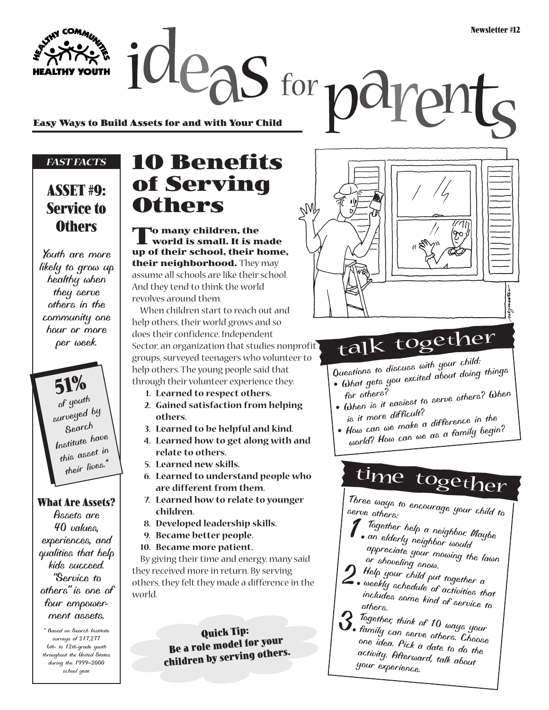**Easy Ways to Build Assets for and with Your Child**

#### *FAST FACTS*

**HEALTHY YOUTH** 

#### **ASSET #9: Service to Others**

*Youth are more likely to grow up healthy when they serve others in the community one hour or more per week.*

**51%** *of youth surveyed by Search Institute have this asset in their lives.\**

#### **What Are Assets?**

*Assets are 40 values, experiences, and qualities that help kids succeed. "Service to others" is one of four empowerment assets.*

*\* Based on Search Institute surveys of 217,277 6th- to 12th-grade youth throughout the United States during the 1999–2000 school year.*

## **10 Benefits of Serving Others**

deas for pay

**To many children, the world is small. It is made up of their school, their home, their neighborhood.** They may assume all schools are like their school. And they tend to think the world revolves around them.

When children start to reach out and help others, their world grows and so does their confidence. Independent Sector, an organization that studies nonprofit groups, surveyed teenagers who volunteer to help others. The young people said that through their volunteer experience they:

- **1. Learned to respect others.**
- **2. Gained satisfaction from helping others.**
- **3. Learned to be helpful and kind.**
- **4. Learned how to get along with and relate to others.**
- **5. Learned new skills.**
- **6. Learned to understand people who are different from them.**
- **7. Learned how to relate to younger**
- **children.**
- **8. Developed leadership skills.**
- **9. Became better people.**
- **10. Became more patient.**

By giving their time and energy, many said they received more in return. By serving others, they felt they made a difference in the world.

> **Quick Tip: Be a role model for your children by serving others.**



# talk together

*Questions to discuss with your child: • What gets you excited about doing things*

- *for others? • When is it easiest to serve others? When*
- *is it more difficult? • How can we make a difference in the*
- *world? How can we as a family begin?*

time together

*Three ways to encourage your child to serve others:*

- *1.Together help a neighbor. Maybe an elderly neighbor would appreciate your mowing the lawn or shoveling snow.*
- *2.Help your child put together a*
- *weekly schedule of activities that includes some kind of service to others.*
- *3.Together, think of 10 ways your family can serve others. Choose one idea. Pick a date to do the activity. Afterward, talk about your experience.*